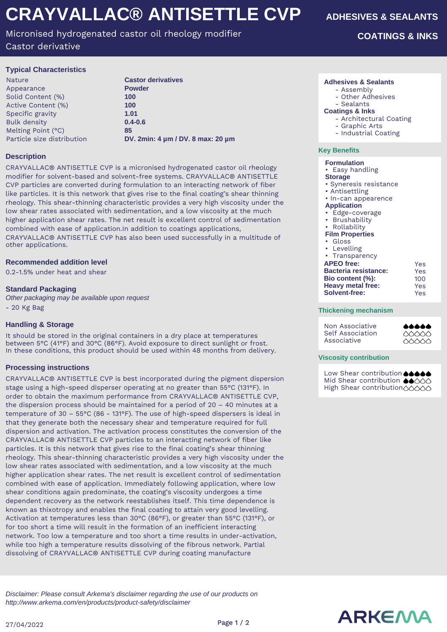# **CRAYVALLAC® ANTISETTLE CVP**

Micronised hydrogenated castor oil rheology modifier

Castor derivative

## **Typical Characteristics**

Nature **Castor derivatives**  Appearance **Powder** Solid Content (%) **100** Active Content (%) **100** Specific gravity **1.01** Bulk density **0.4-0.6** Melting Point (°C) **85**

Particle size distribution **DV. 2min: 4 µm / DV. 8 max: 20 µm**

# **Description**

CRAYVALLAC® ANTISETTLE CVP is a micronised hydrogenated castor oil rheology modifier for solvent-based and solvent-free systems. CRAYVALLAC® ANTISETTLE CVP particles are converted during formulation to an interacting network of fiber like particles. It is this network that gives rise to the final coating's shear thinning rheology. This shear-thinning characteristic provides a very high viscosity under the low shear rates associated with sedimentation, and a low viscosity at the much higher application shear rates. The net result is excellent control of sedimentation combined with ease of application.In addition to coatings applications, CRAYVALLAC® ANTISETTLE CVP has also been used successfully in a multitude of other applications.

# **Recommended addition level**

0.2-1.5% under heat and shear

## **Standard Packaging**

Other packaging may be available upon request - 20 Kg Bag

# **Handling & Storage**

It should be stored in the original containers in a dry place at temperatures between 5°C (41°F) and 30°C (86°F). Avoid exposure to direct sunlight or frost. In these conditions, this product should be used within 48 months from delivery.

## **Processing instructions**

CRAYVALLAC® ANTISETTLE CVP is best incorporated during the pigment dispersion stage using a high-speed disperser operating at no greater than 55°C (131°F). In order to obtain the maximum performance from CRAYVALLAC® ANTISETTLE CVP, the dispersion process should be maintained for a period of 20 – 40 minutes at a temperature of 30 – 55°C (86 - 131°F). The use of high-speed dispersers is ideal in that they generate both the necessary shear and temperature required for full dispersion and activation. The activation process constitutes the conversion of the CRAYVALLAC® ANTISETTLE CVP particles to an interacting network of fiber like particles. It is this network that gives rise to the final coating's shear thinning rheology. This shear-thinning characteristic provides a very high viscosity under the low shear rates associated with sedimentation, and a low viscosity at the much higher application shear rates. The net result is excellent control of sedimentation combined with ease of application. Immediately following application, where low shear conditions again predominate, the coating's viscosity undergoes a time dependent recovery as the network reestablishes itself. This time dependence is known as thixotropy and enables the final coating to attain very good levelling. Activation at temperatures less than 30°C (86°F), or greater than 55°C (131°F), or for too short a time will result in the formation of an inefficient interacting network. Too low a temperature and too short a time results in under-activation, while too high a temperature results dissolving of the fibrous network. Partial dissolving of CRAYVALLAC® ANTISETTLE CVP during coating manufacture

**ADHESIVES & SEALANTS**

# **COATINGS & INKS**

## **Adhesives & Sealants**

- Assembly
- Other Adhesives

#### - Sealants **Coatings & Inks**

- Architectural Coating
- Graphic Arts
- Industrial Coating

## **Key Benefits**

## **Formulation**

• Easy handling

**Storage**

- Syneresis resistance
- Antisettling
- In-can appearence

#### **Application**

- Edge-coverage
- Brushability
- Rollability
- **Film Properties**
- Gloss
- Levelling

| ٠ | Transparency |
|---|--------------|
|   | $- - - -$    |

| <b>APEO</b> free:           | Yes |
|-----------------------------|-----|
| <b>Bacteria resistance:</b> | Yes |
| Bio content (%):            | 100 |
| <b>Heavy metal free:</b>    | Yes |
| Solvent-free:               | Yes |

### **Thickening mechanism**

| Non Associative  | <b></b> |
|------------------|---------|
| Self Association | 66666   |
| Associative      | 66666   |

# **Viscosity contribution**

Low Shear contribution **44444** Mid Shear contribution ●●○○○ High Shear contribution 00000

Disclaimer: Please consult Arkema's disclaimer regarding the use of our products on http://www.arkema.com/en/products/product-safety/disclaimer